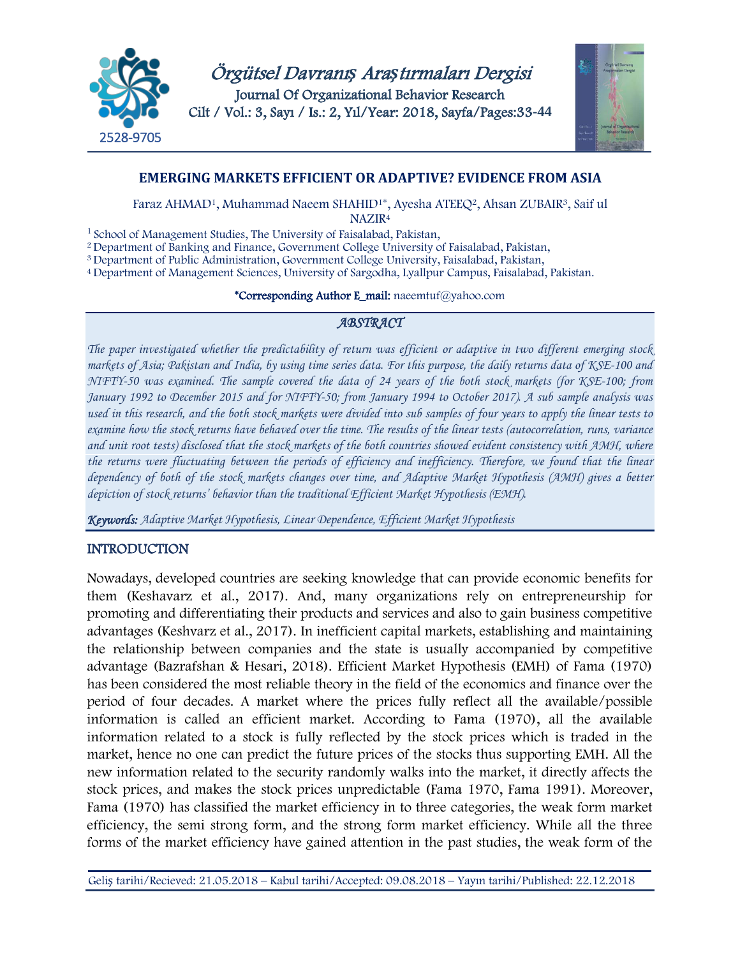

Örgütsel Davranı*ş* Ara*ş*tırmaları Dergisi Journal Of Organizational Behavior Research Cilt / Vol.: 3, Sayı / Is.: 2, Yıl/Year: 2018, Sayfa/Pages:33**-44**



## **EMERGING MARKETS EFFICIENT OR ADAPTIVE? EVIDENCE FROM ASIA**

Faraz AHMAD<sup>1</sup>, Muhammad Naeem SHAHID<sup>1\*</sup>, Ayesha ATEEQ<sup>2</sup>, Ahsan ZUBAIR<sup>3</sup>, Saif ul

NAZIR<sup>4</sup>

<sup>1</sup> School of Management Studies, The University of Faisalabad, Pakistan,

<sup>2</sup>Department of Banking and Finance, Government College University of Faisalabad, Pakistan,

<sup>3</sup>Department of Public Administration, Government College University, Faisalabad, Pakistan,

<sup>4</sup>Department of Management Sciences, University of Sargodha, Lyallpur Campus, Faisalabad, Pakistan.

### \*Corresponding Author E\_mail: naeemtuf@yahoo.com

## *ABSTRACT*

*The paper investigated whether the predictability of return was efficient or adaptive in two different emerging stock markets of Asia; Pakistan and India, by using time series data. For this purpose, the daily returns data of KSE-100 and NIFTY-50 was examined. The sample covered the data of 24 years of the both stock markets (for KSE-100; from January 1992 to December 2015 and for NIFTY-50; from January 1994 to October 2017). A sub sample analysis was used in this research, and the both stock markets were divided into sub samples of four years to apply the linear tests to examine how the stock returns have behaved over the time. The results of the linear tests (autocorrelation, runs, variance and unit root tests) disclosed that the stock markets of the both countries showed evident consistency with AMH, where the returns were fluctuating between the periods of efficiency and inefficiency. Therefore, we found that the linear dependency of both of the stock markets changes over time, and Adaptive Market Hypothesis (AMH) gives a better depiction of stock returns' behavior than the traditional Efficient Market Hypothesis (EMH).*

*Keywords: Adaptive Market Hypothesis, Linear Dependence, Efficient Market Hypothesis*

## INTRODUCTION

Nowadays, developed countries are seeking knowledge that can provide economic benefits for them (Keshavarz et al., 2017). And, many organizations rely on entrepreneurship for promoting and differentiating their products and services and also to gain business competitive advantages (Keshvarz et al., 2017). In inefficient capital markets, establishing and maintaining the relationship between companies and the state is usually accompanied by competitive advantage (Bazrafshan & Hesari, 2018). Efficient Market Hypothesis (EMH) of Fama (1970) has been considered the most reliable theory in the field of the economics and finance over the period of four decades. A market where the prices fully reflect all the available/possible information is called an efficient market. According to Fama (1970), all the available information related to a stock is fully reflected by the stock prices which is traded in the market, hence no one can predict the future prices of the stocks thus supporting EMH. All the new information related to the security randomly walks into the market, it directly affects the stock prices, and makes the stock prices unpredictable (Fama 1970, Fama 1991). Moreover, Fama (1970) has classified the market efficiency in to three categories, the weak form market efficiency, the semi strong form, and the strong form market efficiency. While all the three forms of the market efficiency have gained attention in the past studies, the weak form of the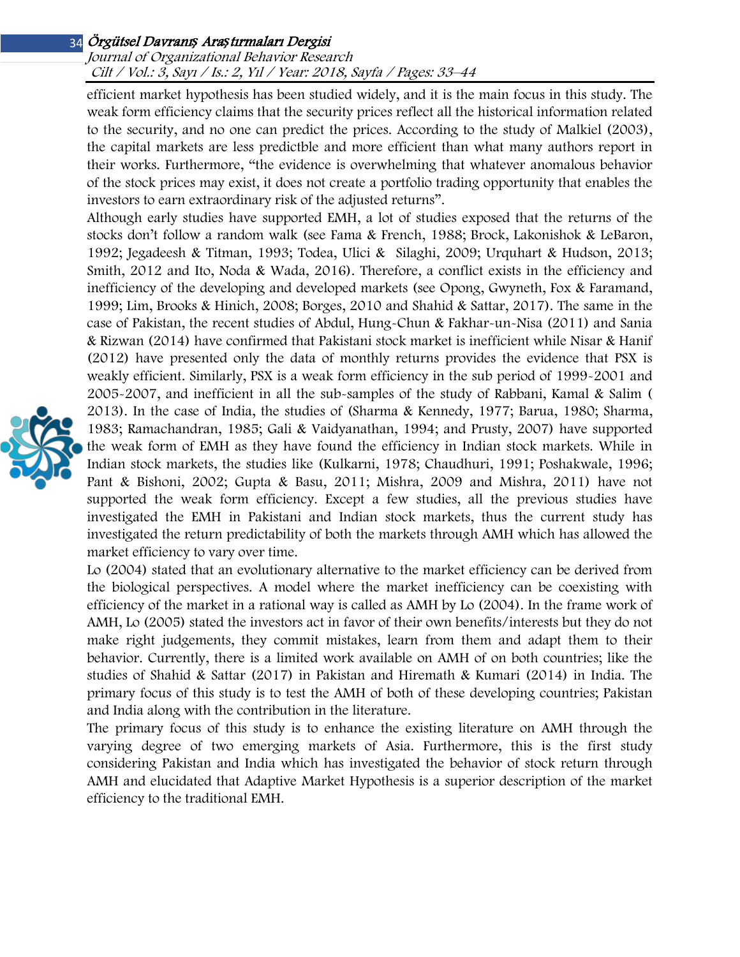## Journal of Organizational Behavior Research Cilt / Vol.: 3, Sayı / Is.: 2, Yıl / Year: 2018, Sayfa / Pages: 33–44

efficient market hypothesis has been studied widely, and it is the main focus in this study. The weak form efficiency claims that the security prices reflect all the historical information related to the security, and no one can predict the prices. According to the study of Malkiel (2003), the capital markets are less predictble and more efficient than what many authors report in their works. Furthermore, "the evidence is overwhelming that whatever anomalous behavior of the stock prices may exist, it does not create a portfolio trading opportunity that enables the investors to earn extraordinary risk of the adjusted returns".

Although early studies have supported EMH, a lot of studies exposed that the returns of the stocks don't follow a random walk (see Fama & French, 1988; Brock, Lakonishok & LeBaron, 1992; Jegadeesh & Titman, 1993; Todea, Ulici & Silaghi, 2009; Urquhart & Hudson, 2013; Smith, 2012 and Ito, Noda & Wada, 2016). Therefore, a conflict exists in the efficiency and inefficiency of the developing and developed markets (see Opong, Gwyneth, Fox & Faramand, 1999; Lim, Brooks & Hinich, 2008; Borges, 2010 and Shahid & Sattar, 2017). The same in the case of Pakistan, the recent studies of Abdul, Hung-Chun & Fakhar-un-Nisa (2011) and Sania & Rizwan (2014) have confirmed that Pakistani stock market is inefficient while Nisar & Hanif (2012) have presented only the data of monthly returns provides the evidence that PSX is weakly efficient. Similarly, PSX is a weak form efficiency in the sub period of 1999-2001 and 2005-2007, and inefficient in all the sub-samples of the study of Rabbani, Kamal & Salim ( 2013). In the case of India, the studies of (Sharma & Kennedy, 1977; Barua, 1980; Sharma, 1983; Ramachandran, 1985; Gali & Vaidyanathan, 1994; and Prusty, 2007) have supported the weak form of EMH as they have found the efficiency in Indian stock markets. While in Indian stock markets, the studies like (Kulkarni, 1978; Chaudhuri, 1991; Poshakwale, 1996; Pant & Bishoni, 2002; Gupta & Basu, 2011; Mishra, 2009 and Mishra, 2011) have not supported the weak form efficiency. Except a few studies, all the previous studies have investigated the EMH in Pakistani and Indian stock markets, thus the current study has investigated the return predictability of both the markets through AMH which has allowed the market efficiency to vary over time.

Lo (2004) stated that an evolutionary alternative to the market efficiency can be derived from the biological perspectives. A model where the market inefficiency can be coexisting with efficiency of the market in a rational way is called as AMH by Lo (2004). In the frame work of AMH, Lo (2005) stated the investors act in favor of their own benefits/interests but they do not make right judgements, they commit mistakes, learn from them and adapt them to their behavior. Currently, there is a limited work available on AMH of on both countries; like the studies of Shahid & Sattar (2017) in Pakistan and Hiremath & Kumari (2014) in India. The primary focus of this study is to test the AMH of both of these developing countries; Pakistan and India along with the contribution in the literature.

The primary focus of this study is to enhance the existing literature on AMH through the varying degree of two emerging markets of Asia. Furthermore, this is the first study considering Pakistan and India which has investigated the behavior of stock return through AMH and elucidated that Adaptive Market Hypothesis is a superior description of the market efficiency to the traditional EMH.

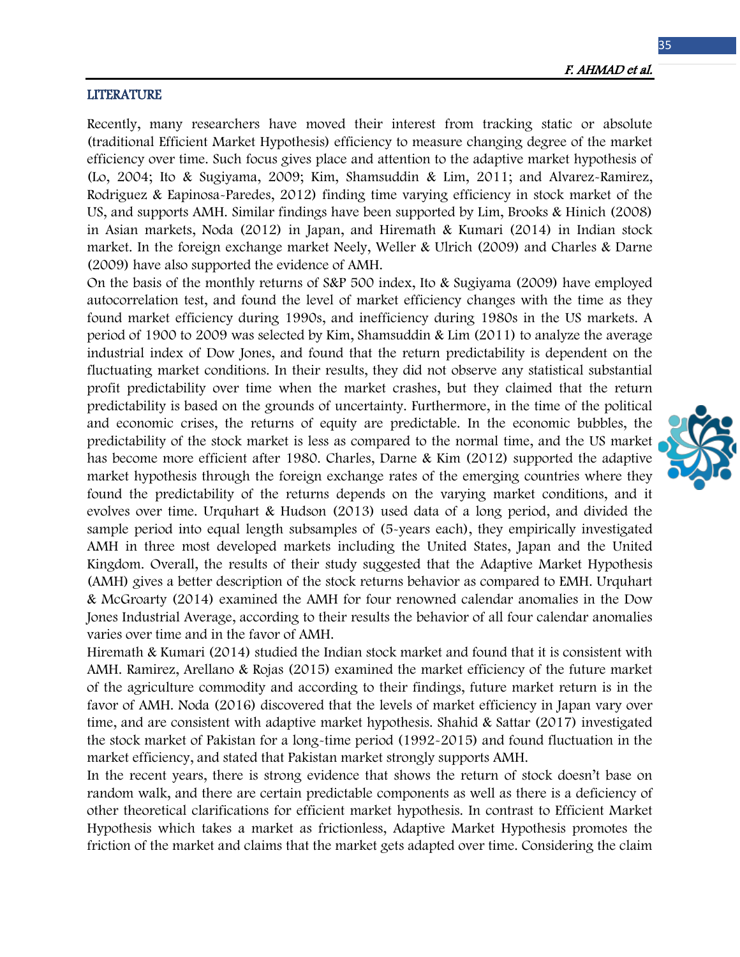#### LITERATURE

Recently, many researchers have moved their interest from tracking static or absolute (traditional Efficient Market Hypothesis) efficiency to measure changing degree of the market efficiency over time. Such focus gives place and attention to the adaptive market hypothesis of (Lo, 2004; Ito & Sugiyama, 2009; Kim, Shamsuddin & Lim, 2011; and Alvarez-Ramirez, Rodriguez & Eapinosa-Paredes, 2012) finding time varying efficiency in stock market of the US, and supports AMH. Similar findings have been supported by Lim, Brooks & Hinich (2008) in Asian markets, Noda (2012) in Japan, and Hiremath & Kumari (2014) in Indian stock market. In the foreign exchange market Neely, Weller & Ulrich (2009) and Charles & Darne (2009) have also supported the evidence of AMH.

On the basis of the monthly returns of S&P 500 index, Ito & Sugiyama (2009) have employed autocorrelation test, and found the level of market efficiency changes with the time as they found market efficiency during 1990s, and inefficiency during 1980s in the US markets. A period of 1900 to 2009 was selected by Kim, Shamsuddin & Lim (2011) to analyze the average industrial index of Dow Jones, and found that the return predictability is dependent on the fluctuating market conditions. In their results, they did not observe any statistical substantial profit predictability over time when the market crashes, but they claimed that the return predictability is based on the grounds of uncertainty. Furthermore, in the time of the political and economic crises, the returns of equity are predictable. In the economic bubbles, the predictability of the stock market is less as compared to the normal time, and the US market has become more efficient after 1980. Charles, Darne & Kim (2012) supported the adaptive market hypothesis through the foreign exchange rates of the emerging countries where they found the predictability of the returns depends on the varying market conditions, and it evolves over time. Urquhart & Hudson (2013) used data of a long period, and divided the sample period into equal length subsamples of (5-years each), they empirically investigated AMH in three most developed markets including the United States, Japan and the United Kingdom. Overall, the results of their study suggested that the Adaptive Market Hypothesis (AMH) gives a better description of the stock returns behavior as compared to EMH. Urquhart & McGroarty (2014) examined the AMH for four renowned calendar anomalies in the Dow Jones Industrial Average, according to their results the behavior of all four calendar anomalies varies over time and in the favor of AMH.

Hiremath & Kumari (2014) studied the Indian stock market and found that it is consistent with AMH. Ramirez, Arellano & Rojas (2015) examined the market efficiency of the future market of the agriculture commodity and according to their findings, future market return is in the favor of AMH. Noda (2016) discovered that the levels of market efficiency in Japan vary over time, and are consistent with adaptive market hypothesis. Shahid & Sattar (2017) investigated the stock market of Pakistan for a long-time period (1992-2015) and found fluctuation in the market efficiency, and stated that Pakistan market strongly supports AMH.

In the recent years, there is strong evidence that shows the return of stock doesn't base on random walk, and there are certain predictable components as well as there is a deficiency of other theoretical clarifications for efficient market hypothesis. In contrast to Efficient Market Hypothesis which takes a market as frictionless, Adaptive Market Hypothesis promotes the friction of the market and claims that the market gets adapted over time. Considering the claim

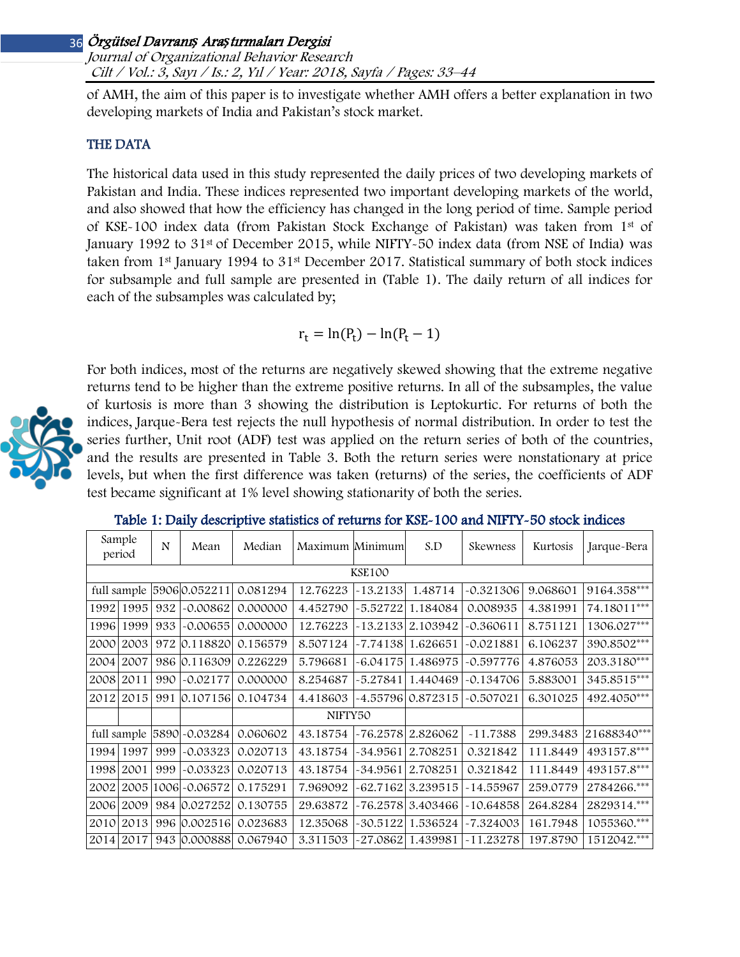Journal of Organizational Behavior Research Cilt / Vol.: 3, Sayı / Is.: 2, Yıl / Year: 2018, Sayfa / Pages: 33–44

of AMH, the aim of this paper is to investigate whether AMH offers a better explanation in two developing markets of India and Pakistan's stock market.

## THE DATA

The historical data used in this study represented the daily prices of two developing markets of Pakistan and India. These indices represented two important developing markets of the world, and also showed that how the efficiency has changed in the long period of time. Sample period of KSE-100 index data (from Pakistan Stock Exchange of Pakistan) was taken from 1st of January 1992 to 31<sup>st</sup> of December 2015, while NIFTY-50 index data (from NSE of India) was taken from  $1<sup>st</sup>$  January 1994 to 31<sup>st</sup> December 2017. Statistical summary of both stock indices for subsample and full sample are presented in (Table 1). The daily return of all indices for each of the subsamples was calculated by;

$$
r_t = \ln(P_t) - \ln(P_t - 1)
$$



For both indices, most of the returns are negatively skewed showing that the extreme negative returns tend to be higher than the extreme positive returns. In all of the subsamples, the value of kurtosis is more than 3 showing the distribution is Leptokurtic. For returns of both the indices, Jarque-Bera test rejects the null hypothesis of normal distribution. In order to test the series further, Unit root (ADF) test was applied on the return series of both of the countries, and the results are presented in Table 3. Both the return series were nonstationary at price levels, but when the first difference was taken (returns) of the series, the coefficients of ADF test became significant at 1% level showing stationarity of both the series.

|               | Sample | N   | Mean                        | Median   | Maximum Minimum |            | S.D                | Skewness    | Kurtosis | Jarque-Bera |
|---------------|--------|-----|-----------------------------|----------|-----------------|------------|--------------------|-------------|----------|-------------|
|               | period |     |                             |          |                 |            |                    |             |          |             |
| <b>KSE100</b> |        |     |                             |          |                 |            |                    |             |          |             |
|               |        |     | full sample 5906 0.052211   | 0.081294 | 12.76223        | $-13.2133$ | 1.48714            | $-0.321306$ | 9.068601 | 9164.358*** |
| 1992          | 1995   | 932 | -0.00862                    | 0.000000 | 4.452790        | $-5.52722$ | 1.184084           | 0.008935    | 4.381991 | 74.18011*** |
| 1996          | 1999   | 933 | $-0.00655$                  | 0.000000 | 12.76223        | $-13.2133$ | 2.103942           | $-0.360611$ | 8.751121 | 1306.027*** |
| 2000          | 2003   | 972 | 0.118820                    | 0.156579 | 8.507124        | -7.74138   | 1.626651           | $-0.021881$ | 6.106237 | 390.8502*** |
| 2004          | 2007   |     | 986 0.116309                | 0.226229 | 5.796681        | $-6.04175$ | 1.486975           | $-0.597776$ | 4.876053 | 203.3180*** |
| 2008          | 2011   | 990 | $-0.02177$                  | 0.000000 | 8.254687        | $-5.27841$ | 1.440469           | $-0.134706$ | 5.883001 | 345.8515*** |
| 2012          | 2015   | 991 | 0.107156                    | 0.104734 | 4.418603        |            | -4.55796  0.872315 | $-0.507021$ | 6.301025 | 492.4050*** |
|               |        |     |                             | NIFTY50  |                 |            |                    |             |          |             |
|               |        |     | full sample [5890] -0.03284 | 0.060602 | 43.18754        | $-76.2578$ | 2.826062           | $-11.7388$  | 299.3483 | 21688340*** |
| 1994          | 1997   | 999 | $-0.03323$                  | 0.020713 | 43.18754        | -34.9561   | 2.708251           | 0.321842    | 111.8449 | 493157.8*** |
| 1998          | 2001   | 999 | -0.03323                    | 0.020713 | 43.18754        | $-34.9561$ | 2.708251           | 0.321842    | 111.8449 | 493157.8*** |
| 2002          |        |     | 2005 1006 - 0.06572         | 0.175291 | 7.969092        | $-62.7162$ | 3.239515           | $-14.55967$ | 259.0779 | 2784266.*** |
| 2006          | 2009   |     | 984 0.027252                | 0.130755 | 29.63872        | $-76.2578$ | 3.403466           | $-10.64858$ | 264.8284 | 2829314.*** |
| 2010          | 2013   |     | 996 0.002516                | 0.023683 | 12.35068        | -30.5122   | 1.536524           | $-7.324003$ | 161.7948 | 1055360.*** |
| 2014          | 2017   |     | 943 0.000888                | 0.067940 | 3.311503        | -27.0862   | 1.439981           | $-11.23278$ | 197.8790 | 1512042.*** |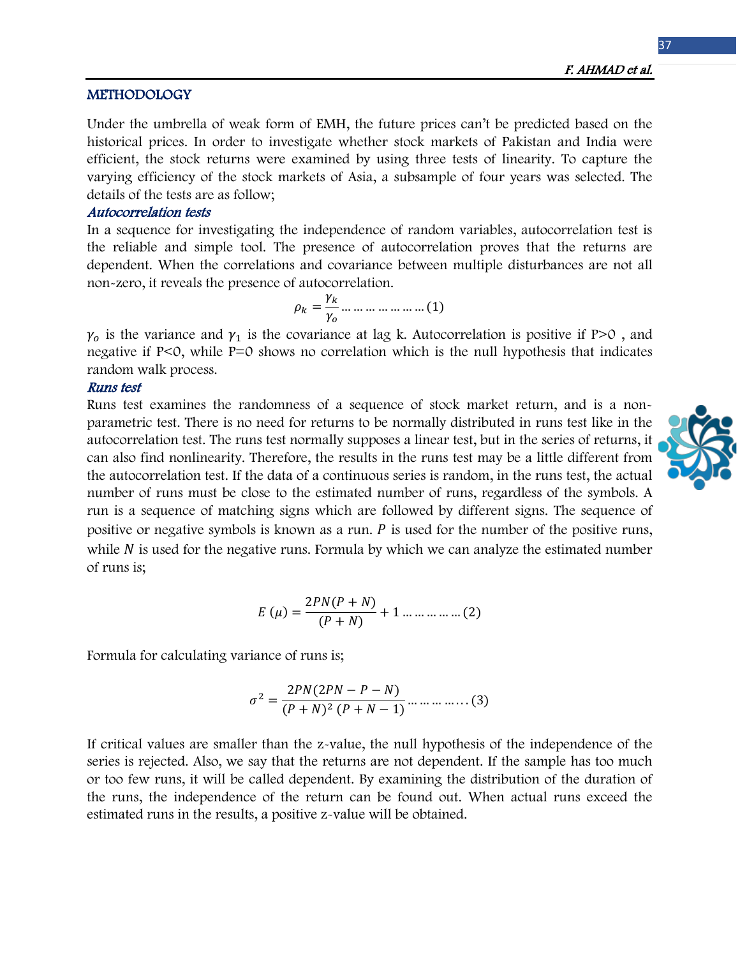### **METHODOLOGY**

Under the umbrella of weak form of EMH, the future prices can't be predicted based on the historical prices. In order to investigate whether stock markets of Pakistan and India were efficient, the stock returns were examined by using three tests of linearity. To capture the varying efficiency of the stock markets of Asia, a subsample of four years was selected. The details of the tests are as follow;

### Autocorrelation tests

In a sequence for investigating the independence of random variables, autocorrelation test is the reliable and simple tool. The presence of autocorrelation proves that the returns are dependent. When the correlations and covariance between multiple disturbances are not all non-zero, it reveals the presence of autocorrelation.

$$
\rho_k = \frac{\gamma_k}{\gamma_0} \dots \dots \dots \dots \dots \dots \dots (1)
$$

 $\gamma_0$  is the variance and  $\gamma_1$  is the covariance at lag k. Autocorrelation is positive if P>0, and negative if P<0, while P=0 shows no correlation which is the null hypothesis that indicates random walk process.

### Runs test

Runs test examines the randomness of a sequence of stock market return, and is a nonparametric test. There is no need for returns to be normally distributed in runs test like in the autocorrelation test. The runs test normally supposes a linear test, but in the series of returns, it can also find nonlinearity. Therefore, the results in the runs test may be a little different from the autocorrelation test. If the data of a continuous series is random, in the runs test, the actual number of runs must be close to the estimated number of runs, regardless of the symbols. A run is a sequence of matching signs which are followed by different signs. The sequence of positive or negative symbols is known as a run.  $P$  is used for the number of the positive runs, while  $N$  is used for the negative runs. Formula by which we can analyze the estimated number of runs is;

$$
E(\mu)=\frac{2PN(P+N)}{(P+N)}+1\ldots\ldots\ldots\ldots\ldots(2)
$$

Formula for calculating variance of runs is;

$$
\sigma^2 = \frac{2PN(2PN - P - N)}{(P + N)^2 (P + N - 1)} \dots \dots \dots \dots \dots (3)
$$

If critical values are smaller than the z-value, the null hypothesis of the independence of the series is rejected. Also, we say that the returns are not dependent. If the sample has too much or too few runs, it will be called dependent. By examining the distribution of the duration of the runs, the independence of the return can be found out. When actual runs exceed the estimated runs in the results, a positive z-value will be obtained.

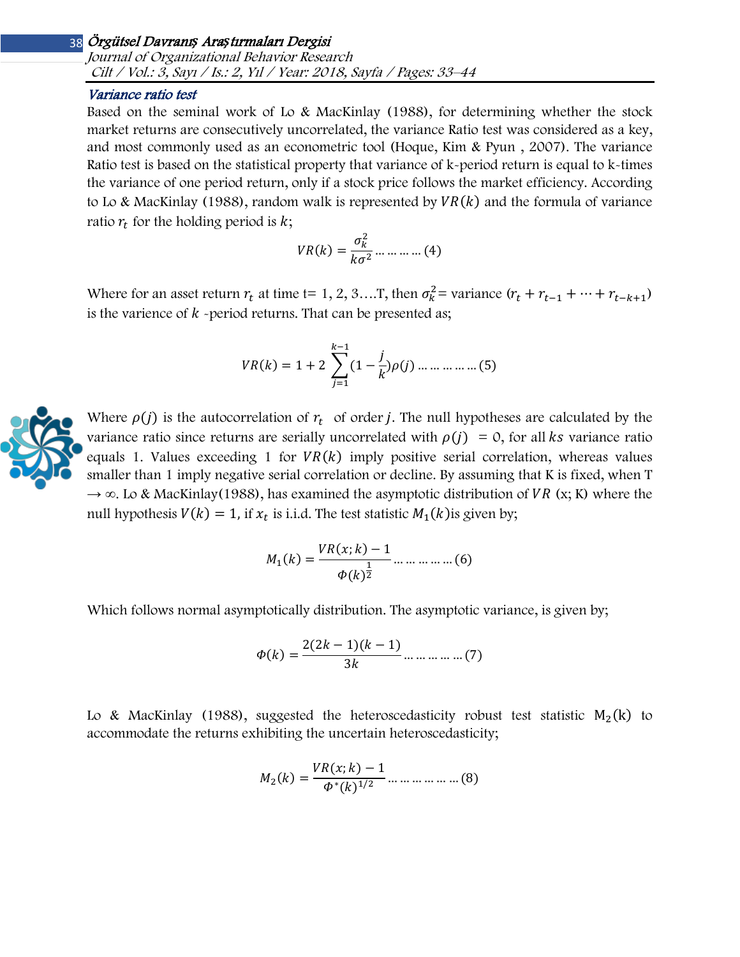Journal of Organizational Behavior Research Cilt / Vol.: 3, Sayı / Is.: 2, Yıl / Year: 2018, Sayfa / Pages: 33–44

### Variance ratio test

Based on the seminal work of Lo & MacKinlay (1988), for determining whether the stock market returns are consecutively uncorrelated, the variance Ratio test was considered as a key, and most commonly used as an econometric tool (Hoque, Kim & Pyun , 2007). The variance Ratio test is based on the statistical property that variance of k-period return is equal to k-times the variance of one period return, only if a stock price follows the market efficiency. According to Lo & MacKinlay (1988), random walk is represented by  $VR(k)$  and the formula of variance ratio  $r_t$  for the holding period is  $k$ ;

$$
VR(k) = \frac{\sigma_k^2}{k\sigma^2} \dots \dots \dots \dots (4)
$$

Where for an asset return  $r_t$  at time t= 1, 2, 3….T, then  $\sigma_k^2$ = variance  $(r_t + r_{t-1} + \cdots + r_{t-k+1})$ is the varience of  $k$  -period returns. That can be presented as;

$$
VR(k) = 1 + 2 \sum_{j=1}^{k-1} (1 - \frac{j}{k}) \rho(j) \dots \dots \dots \dots \dots \dots (5)
$$

Where  $\rho(j)$  is the autocorrelation of  $r_t$  of order *j*. The null hypotheses are calculated by the variance ratio since returns are serially uncorrelated with  $\rho(j) = 0$ , for all ks variance ratio equals 1. Values exceeding 1 for  $VR(k)$  imply positive serial correlation, whereas values smaller than 1 imply negative serial correlation or decline. By assuming that K is fixed, when T  $\rightarrow \infty$ . Lo & MacKinlay(1988), has examined the asymptotic distribution of *VR* (x; K) where the null hypothesis  $V(k) = 1$ , if  $x_t$  is i.i.d. The test statistic  $M_1(k)$  is given by;

$$
M_1(k) = \frac{VR(x;k) - 1}{\Phi(k)^{\frac{1}{2}}} \dots \dots \dots \dots \dots \dots (6)
$$

Which follows normal asymptotically distribution. The asymptotic variance, is given by;

$$
\Phi(k) = \frac{2(2k-1)(k-1)}{3k} \dots \dots \dots \dots \dots (7)
$$

Lo & MacKinlay (1988), suggested the heteroscedasticity robust test statistic  $M_2(k)$  to accommodate the returns exhibiting the uncertain heteroscedasticity;

$$
M_2(k) = \frac{VR(x;k) - 1}{\Phi^*(k)^{1/2}} \dots \dots \dots \dots \dots \dots (8)
$$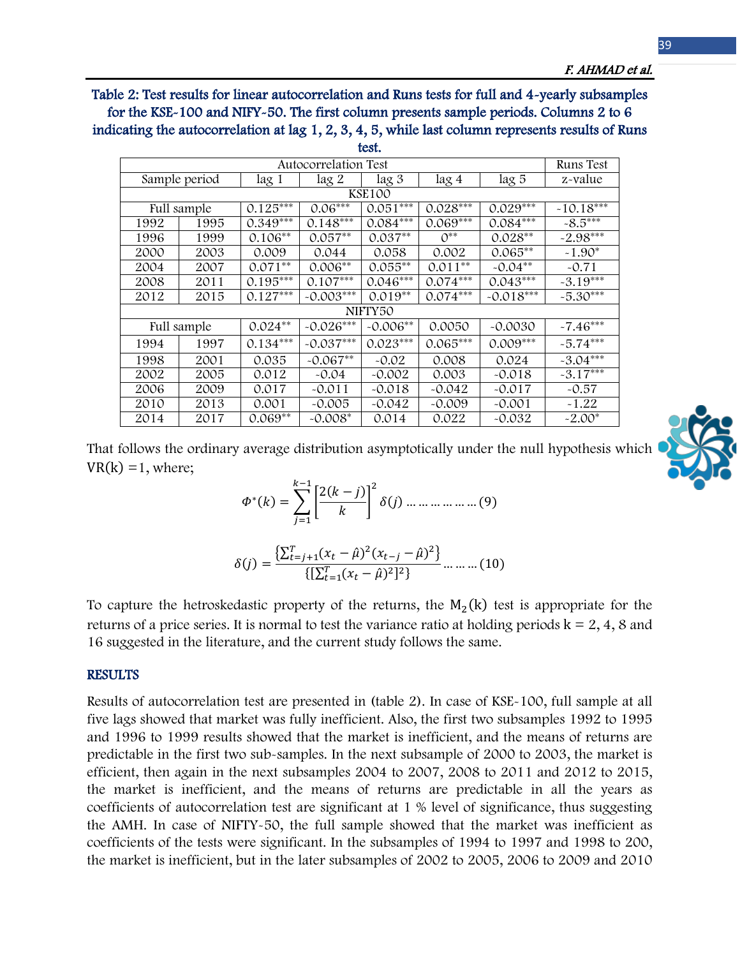Table 2: Test results for linear autocorrelation and Runs tests for full and 4-yearly subsamples for the KSE-100 and NIFY-50. The first column presents sample periods. Columns 2 to 6 indicating the autocorrelation at lag 1, 2, 3, 4, 5, while last column represents results of Runs test.

| Autocorrelation Test |               |                  |             |            |            |             |             |  |  |  |
|----------------------|---------------|------------------|-------------|------------|------------|-------------|-------------|--|--|--|
|                      | Sample period | lag <sub>1</sub> | $\log 2$    | $\log 3$   | lag 4      | lag 5       | z-value     |  |  |  |
| <b>KSE100</b>        |               |                  |             |            |            |             |             |  |  |  |
|                      | Full sample   | $0.125***$       | $0.06***$   | $0.051***$ | $0.028***$ | $0.029***$  | $-10.18***$ |  |  |  |
| 1995<br>1992         |               | $0.349***$       | $0.148***$  | $0.084***$ | $0.069***$ | $0.084***$  | $-8.5***$   |  |  |  |
| 1996                 | 1999          | $0.106**$        | $0.057**$   | $0.037**$  | $0^{**}$   | $0.028**$   | $-2.98***$  |  |  |  |
| 2000                 | 2003          | 0.009            | 0.044       | 0.058      | 0.002      | $0.065**$   | $-1.90*$    |  |  |  |
| 2004                 | 2007          | $0.071**$        | $0.006**$   | $0.055**$  | $0.011**$  | $-0.04**$   | $-0.71$     |  |  |  |
| 2008                 | 2011          | $0.195***$       | $0.107***$  | $0.046***$ | $0.074***$ | $0.043***$  | $-3.19***$  |  |  |  |
| 2012                 | 2015          | $0.127***$       | $-0.003***$ | $0.019**$  | $0.074***$ | $-0.018***$ | $-5.30***$  |  |  |  |
| NIFTY50              |               |                  |             |            |            |             |             |  |  |  |
|                      | Full sample   | $0.024**$        | $-0.026***$ | $-0.006**$ | 0.0050     | $-0.0030$   | $-7.46***$  |  |  |  |
| 1994                 | 1997          | $0.134***$       | $-0.037***$ | $0.023***$ | $0.065***$ | $0.009***$  | $-5.74***$  |  |  |  |
| 1998                 | 2001          | 0.035            | $-0.067**$  | $-0.02$    | 0.008      | 0.024       | $-3.04***$  |  |  |  |
| 2002                 | 2005          | 0.012            | $-0.04$     | $-0.002$   | 0.003      | $-0.018$    | $-3.17***$  |  |  |  |
| 2006                 | 2009          | 0.017            | $-0.011$    | $-0.018$   | $-0.042$   | $-0.017$    | $-0.57$     |  |  |  |
| 2010                 | 2013          | 0.001            | $-0.005$    | $-0.042$   | $-0.009$   | $-0.001$    | $-1.22$     |  |  |  |
| 2014                 | 2017          | $0.069**$        | $-0.008*$   | 0.014      | 0.022      | -0.032      | $-2.00*$    |  |  |  |

That follows the ordinary average distribution asymptotically under the null hypothesis which  $VR(k) = 1$ , where;

> $\Phi^*(k) = \sum_{k} \left| \frac{2(k-j)}{k} \right|$  $\left[\frac{k}{k}\right]$  $\sum_{k=1}^{k-1} [2(b-1)]^2$  $j=1$  $\delta(j)$  … … … … …  $(9)$

$$
\delta(j) = \frac{\left\{\sum_{t=j+1}^{T} (x_t - \hat{\mu})^2 (x_{t-j} - \hat{\mu})^2\right\}}{\left\{\left[\sum_{t=1}^{T} (x_t - \hat{\mu})^2\right]^2\right\}} \dots \dots \dots (10)
$$

To capture the hetroskedastic property of the returns, the  $M_2(k)$  test is appropriate for the returns of a price series. It is normal to test the variance ratio at holding periods  $k = 2, 4, 8$  and 16 suggested in the literature, and the current study follows the same.

### **RESULTS**

Results of autocorrelation test are presented in (table 2). In case of KSE-100, full sample at all five lags showed that market was fully inefficient. Also, the first two subsamples 1992 to 1995 and 1996 to 1999 results showed that the market is inefficient, and the means of returns are predictable in the first two sub-samples. In the next subsample of 2000 to 2003, the market is efficient, then again in the next subsamples 2004 to 2007, 2008 to 2011 and 2012 to 2015, the market is inefficient, and the means of returns are predictable in all the years as coefficients of autocorrelation test are significant at 1 % level of significance, thus suggesting the AMH. In case of NIFTY-50, the full sample showed that the market was inefficient as coefficients of the tests were significant. In the subsamples of 1994 to 1997 and 1998 to 200, the market is inefficient, but in the later subsamples of 2002 to 2005, 2006 to 2009 and 2010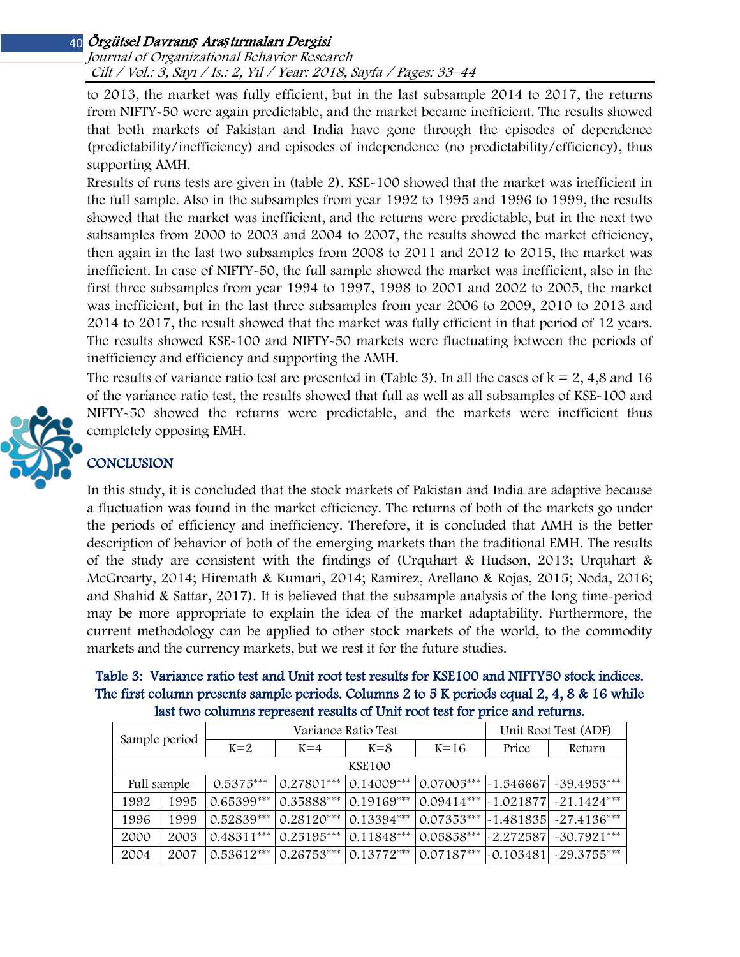Journal of Organizational Behavior Research Cilt / Vol.: 3, Sayı / Is.: 2, Yıl / Year: 2018, Sayfa / Pages: 33–44

to 2013, the market was fully efficient, but in the last subsample 2014 to 2017, the returns from NIFTY-50 were again predictable, and the market became inefficient. The results showed that both markets of Pakistan and India have gone through the episodes of dependence (predictability/inefficiency) and episodes of independence (no predictability/efficiency), thus supporting AMH.

Rresults of runs tests are given in (table 2). KSE-100 showed that the market was inefficient in the full sample. Also in the subsamples from year 1992 to 1995 and 1996 to 1999, the results showed that the market was inefficient, and the returns were predictable, but in the next two subsamples from 2000 to 2003 and 2004 to 2007, the results showed the market efficiency, then again in the last two subsamples from 2008 to 2011 and 2012 to 2015, the market was inefficient. In case of NIFTY-50, the full sample showed the market was inefficient, also in the first three subsamples from year 1994 to 1997, 1998 to 2001 and 2002 to 2005, the market was inefficient, but in the last three subsamples from year 2006 to 2009, 2010 to 2013 and 2014 to 2017, the result showed that the market was fully efficient in that period of 12 years. The results showed KSE-100 and NIFTY-50 markets were fluctuating between the periods of inefficiency and efficiency and supporting the AMH.

The results of variance ratio test are presented in (Table 3). In all the cases of  $k = 2, 4, 8$  and 16 of the variance ratio test, the results showed that full as well as all subsamples of KSE-100 and NIFTY-50 showed the returns were predictable, and the markets were inefficient thus completely opposing EMH.

# **CONCLUSION**

In this study, it is concluded that the stock markets of Pakistan and India are adaptive because a fluctuation was found in the market efficiency. The returns of both of the markets go under the periods of efficiency and inefficiency. Therefore, it is concluded that AMH is the better description of behavior of both of the emerging markets than the traditional EMH. The results of the study are consistent with the findings of (Urquhart & Hudson, 2013; Urquhart & McGroarty, 2014; Hiremath & Kumari, 2014; Ramirez, Arellano & Rojas, 2015; Noda, 2016; and Shahid & Sattar, 2017). It is believed that the subsample analysis of the long time-period may be more appropriate to explain the idea of the market adaptability. Furthermore, the current methodology can be applied to other stock markets of the world, to the commodity markets and the currency markets, but we rest it for the future studies.

| Table 3: Variance ratio test and Unit root test results for KSE100 and NIFTY50 stock indices. |
|-----------------------------------------------------------------------------------------------|
| The first column presents sample periods. Columns 2 to 5 K periods equal 2, 4, 8 & 16 while   |
| last two columns represent results of Unit root test for price and returns.                   |

| Sample period |      |              | Variance Ratio Test | Unit Root Test (ADF) |              |             |                                   |  |  |
|---------------|------|--------------|---------------------|----------------------|--------------|-------------|-----------------------------------|--|--|
|               |      | $K=2$        | $K = 4$             | $K = 8$              | $K=16$       |             | Return                            |  |  |
| <b>KSE100</b> |      |              |                     |                      |              |             |                                   |  |  |
| Full sample   |      | $0.5375***$  | $0.27801***$        | $0.14009***$         | $0.07005***$ |             | -1.546667  -39.4953***            |  |  |
| 1992          | 1995 | $0.65399***$ | 0.35888***          | $0.19169***$         | $0.09414***$ |             | $\sim$ 1.021877 $\sim$ 21.1424*** |  |  |
| 1996          | 1999 | $0.52839***$ | $0.28120***$        | $0.13394***$         | $0.07353***$ |             | $-1.481835$ $-27.4136***$         |  |  |
| 2000          | 2003 | $0.48311***$ | $0.25195***$        | $0.11848***$         | $0.05858***$ |             | $-2.272587$ $-30.7921***$         |  |  |
| 2004          | 2007 | $0.53612***$ | $0.26753***$        | $0.13772***$         | $0.07187***$ | $-0.103481$ | $~29.3755***$                     |  |  |

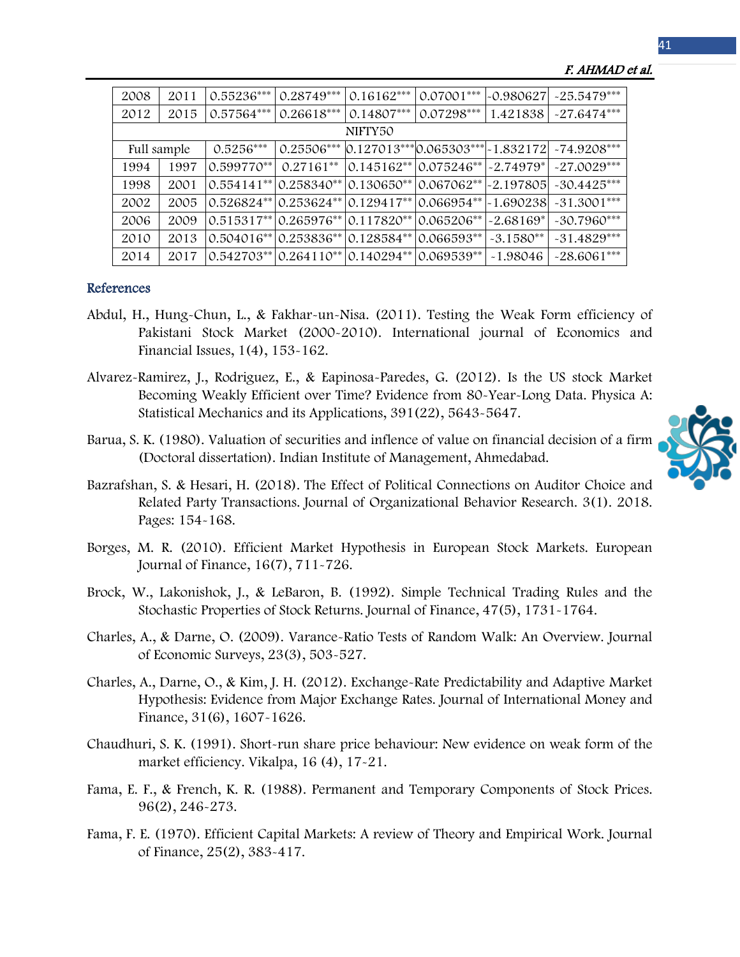| 2008        | 2011 | 0.55236***   | $0.28749***$                          | $0.16162***$                               | $0.07001***$            | $-0.980627$ | $-25.5479***$                                                      |  |  |
|-------------|------|--------------|---------------------------------------|--------------------------------------------|-------------------------|-------------|--------------------------------------------------------------------|--|--|
| 2012        | 2015 | 0.57564***   | $0.26618***$                          | $0.14807***$                               | $0.07298***$            | 1.421838    | $-27.6474***$                                                      |  |  |
| NIFTY50     |      |              |                                       |                                            |                         |             |                                                                    |  |  |
| Full sample |      | $0.5256***$  |                                       |                                            |                         |             | $0.25506***$ $0.127013***$ $0.065303***$ $-1.832172$ $-74.9208***$ |  |  |
| 1994        | 1997 | $0.599770**$ | $0.27161**$                           | $ 0.145162^{**} 0.075246^{**} $ - 2.74979* |                         |             | $-27.0029***$                                                      |  |  |
| 1998        | 2001 | $0.554141**$ | $ 0.258340^{**} $                     | 0.130650**                                 | $0.067062**$ - 2.197805 |             | $-30.4425***$                                                      |  |  |
| 2002        | 2005 |              | $0.526824**$ $0.253624**$             | $0.129417**$                               | $0.066954** - 1.690238$ |             | $-31.3001***$                                                      |  |  |
| 2006        | 2009 |              | $0.515317**$ 0.265976** 0.117820**    |                                            | $0.065206**$            | $-2.68169*$ | $-30.7960***$                                                      |  |  |
| 2010        | 2013 |              | $0.504016**$ 0.253836** 0.128584**    |                                            | $0.066593**$            | $-3.1580**$ | $-31.4829***$                                                      |  |  |
| 2014        | 2017 |              | $0.542703^{**}$ 0.264110** 0.140294** |                                            | 0.069539**              | $-1.98046$  | $-28.6061***$                                                      |  |  |

#### F. AHMAD et al.

### References

- Abdul, H., Hung-Chun, L., & Fakhar-un-Nisa. (2011). Testing the Weak Form efficiency of Pakistani Stock Market (2000-2010). International journal of Economics and Financial Issues, 1(4), 153-162.
- Alvarez-Ramirez, J., Rodriguez, E., & Eapinosa-Paredes, G. (2012). Is the US stock Market Becoming Weakly Efficient over Time? Evidence from 80-Year-Long Data. Physica A: Statistical Mechanics and its Applications, 391(22), 5643-5647.
- Barua, S. K. (1980). Valuation of securities and inflence of value on financial decision of a firm (Doctoral dissertation). Indian Institute of Management, Ahmedabad.



- Bazrafshan, S. & Hesari, H. (2018). The Effect of Political Connections on Auditor Choice and Related Party Transactions. Journal of Organizational Behavior Research. 3(1). 2018. Pages: 154-168.
- Borges, M. R. (2010). Efficient Market Hypothesis in European Stock Markets. European Journal of Finance, 16(7), 711-726.
- Brock, W., Lakonishok, J., & LeBaron, B. (1992). Simple Technical Trading Rules and the Stochastic Properties of Stock Returns. Journal of Finance, 47(5), 1731-1764.
- Charles, A., & Darne, O. (2009). Varance-Ratio Tests of Random Walk: An Overview. Journal of Economic Surveys, 23(3), 503-527.
- Charles, A., Darne, O., & Kim, J. H. (2012). Exchange-Rate Predictability and Adaptive Market Hypothesis: Evidence from Major Exchange Rates. Journal of International Money and Finance, 31(6), 1607-1626.
- Chaudhuri, S. K. (1991). Short-run share price behaviour: New evidence on weak form of the market efficiency. Vikalpa, 16 (4), 17-21.
- Fama, E. F., & French, K. R. (1988). Permanent and Temporary Components of Stock Prices. 96(2), 246-273.
- Fama, F. E. (1970). Efficient Capital Markets: A review of Theory and Empirical Work. Journal of Finance, 25(2), 383-417.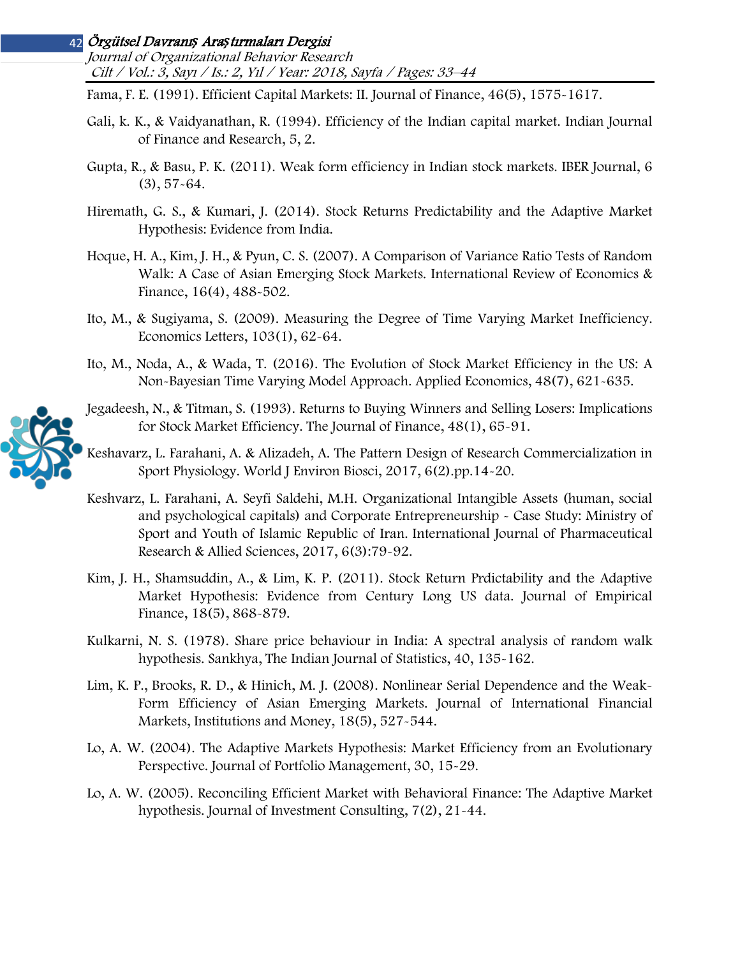Journal of Organizational Behavior Research Cilt / Vol.: 3, Sayı / Is.: 2, Yıl / Year: 2018, Sayfa / Pages: 33–44

Fama, F. E. (1991). Efficient Capital Markets: II. Journal of Finance, 46(5), 1575-1617.

- Gali, k. K., & Vaidyanathan, R. (1994). Efficiency of the Indian capital market. Indian Journal of Finance and Research, 5, 2.
- Gupta, R., & Basu, P. K. (2011). Weak form efficiency in Indian stock markets. IBER Journal, 6 (3), 57-64.
- Hiremath, G. S., & Kumari, J. (2014). Stock Returns Predictability and the Adaptive Market Hypothesis: Evidence from India.
- Hoque, H. A., Kim, J. H., & Pyun, C. S. (2007). A Comparison of Variance Ratio Tests of Random Walk: A Case of Asian Emerging Stock Markets. International Review of Economics & Finance, 16(4), 488-502.
- Ito, M., & Sugiyama, S. (2009). Measuring the Degree of Time Varying Market Inefficiency. Economics Letters, 103(1), 62-64.
- Ito, M., Noda, A., & Wada, T. (2016). The Evolution of Stock Market Efficiency in the US: A Non-Bayesian Time Varying Model Approach. Applied Economics, 48(7), 621-635.
- Jegadeesh, N., & Titman, S. (1993). Returns to Buying Winners and Selling Losers: Implications for Stock Market Efficiency. The Journal of Finance, 48(1), 65-91.
- Keshavarz, L. Farahani, A. & Alizadeh, A. The Pattern Design of Research Commercialization in Sport Physiology. World J Environ Biosci, 2017, 6(2).pp.14-20.
- Keshvarz, L. Farahani, A. Seyfi Saldehi, M.H. Organizational Intangible Assets (human, social and psychological capitals) and Corporate Entrepreneurship - Case Study: Ministry of Sport and Youth of Islamic Republic of Iran. International Journal of Pharmaceutical Research & Allied Sciences, 2017, 6(3):79-92.
- Kim, J. H., Shamsuddin, A., & Lim, K. P. (2011). Stock Return Prdictability and the Adaptive Market Hypothesis: Evidence from Century Long US data. Journal of Empirical Finance, 18(5), 868-879.
- Kulkarni, N. S. (1978). Share price behaviour in India: A spectral analysis of random walk hypothesis. Sankhya, The Indian Journal of Statistics, 40, 135-162.
- Lim, K. P., Brooks, R. D., & Hinich, M. J. (2008). Nonlinear Serial Dependence and the Weak-Form Efficiency of Asian Emerging Markets. Journal of International Financial Markets, Institutions and Money, 18(5), 527-544.
- Lo, A. W. (2004). The Adaptive Markets Hypothesis: Market Efficiency from an Evolutionary Perspective. Journal of Portfolio Management, 30, 15-29.
- Lo, A. W. (2005). Reconciling Efficient Market with Behavioral Finance: The Adaptive Market hypothesis. Journal of Investment Consulting, 7(2), 21-44.

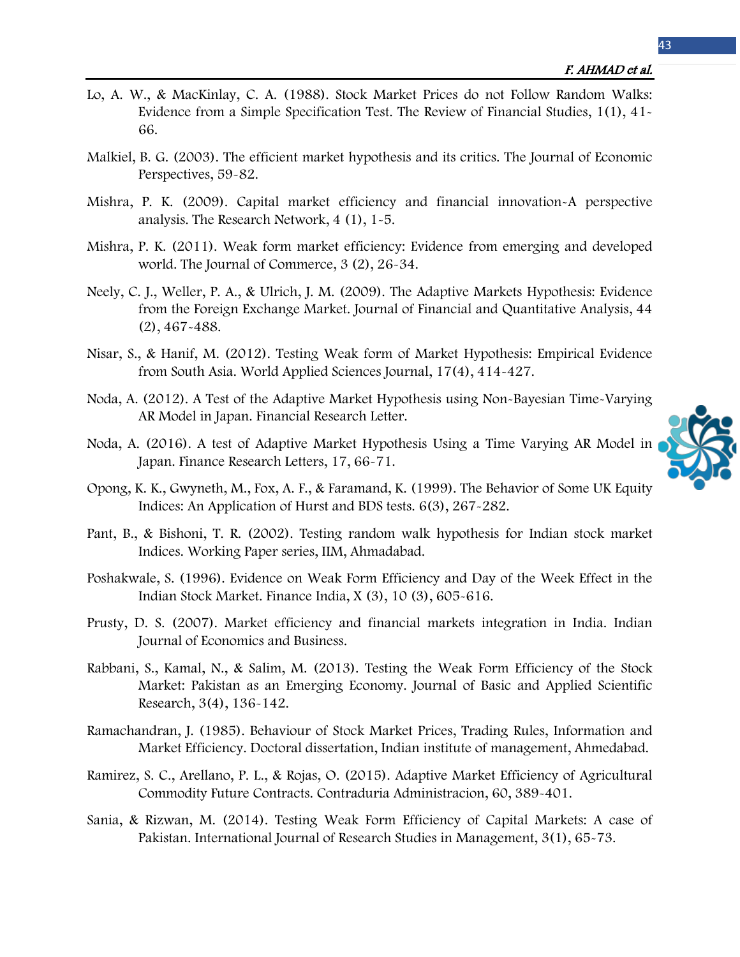- Lo, A. W., & MacKinlay, C. A. (1988). Stock Market Prices do not Follow Random Walks: Evidence from a Simple Specification Test. The Review of Financial Studies, 1(1), 41- 66.
- Malkiel, B. G. (2003). The efficient market hypothesis and its critics. The Journal of Economic Perspectives, 59-82.
- Mishra, P. K. (2009). Capital market efficiency and financial innovation-A perspective analysis. The Research Network, 4 (1), 1-5.
- Mishra, P. K. (2011). Weak form market efficiency: Evidence from emerging and developed world. The Journal of Commerce, 3 (2), 26-34.
- Neely, C. J., Weller, P. A., & Ulrich, J. M. (2009). The Adaptive Markets Hypothesis: Evidence from the Foreign Exchange Market. Journal of Financial and Quantitative Analysis, 44 (2), 467-488.
- Nisar, S., & Hanif, M. (2012). Testing Weak form of Market Hypothesis: Empirical Evidence from South Asia. World Applied Sciences Journal, 17(4), 414-427.
- Noda, A. (2012). A Test of the Adaptive Market Hypothesis using Non-Bayesian Time-Varying AR Model in Japan. Financial Research Letter.
- Noda, A. (2016). A test of Adaptive Market Hypothesis Using a Time Varying AR Model in Japan. Finance Research Letters, 17, 66-71.



- Opong, K. K., Gwyneth, M., Fox, A. F., & Faramand, K. (1999). The Behavior of Some UK Equity Indices: An Application of Hurst and BDS tests. 6(3), 267-282.
- Pant, B., & Bishoni, T. R. (2002). Testing random walk hypothesis for Indian stock market Indices. Working Paper series, IIM, Ahmadabad.
- Poshakwale, S. (1996). Evidence on Weak Form Efficiency and Day of the Week Effect in the Indian Stock Market. Finance India, X (3), 10 (3), 605-616.
- Prusty, D. S. (2007). Market efficiency and financial markets integration in India. Indian Journal of Economics and Business.
- Rabbani, S., Kamal, N., & Salim, M. (2013). Testing the Weak Form Efficiency of the Stock Market: Pakistan as an Emerging Economy. Journal of Basic and Applied Scientific Research, 3(4), 136-142.
- Ramachandran, J. (1985). Behaviour of Stock Market Prices, Trading Rules, Information and Market Efficiency. Doctoral dissertation, Indian institute of management, Ahmedabad.
- Ramirez, S. C., Arellano, P. L., & Rojas, O. (2015). Adaptive Market Efficiency of Agricultural Commodity Future Contracts. Contraduria Administracion, 60, 389-401.
- Sania, & Rizwan, M. (2014). Testing Weak Form Efficiency of Capital Markets: A case of Pakistan. International Journal of Research Studies in Management, 3(1), 65-73.